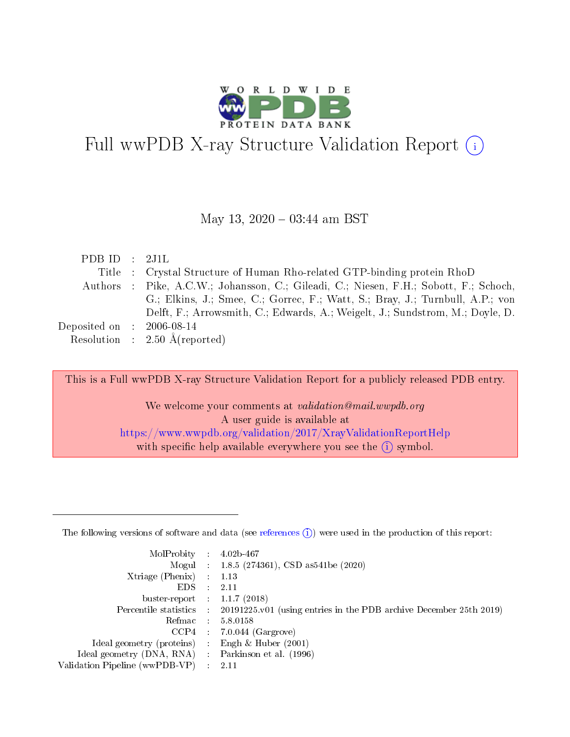

# Full wwPDB X-ray Structure Validation Report  $(i)$

#### May 13,  $2020 - 03:44$  am BST

| PDB ID : $2J1L$             |                                                                                       |
|-----------------------------|---------------------------------------------------------------------------------------|
|                             | Title : Crystal Structure of Human Rho-related GTP-binding protein RhoD               |
|                             | Authors : Pike, A.C.W.; Johansson, C.; Gileadi, C.; Niesen, F.H.; Sobott, F.; Schoch, |
|                             | G.; Elkins, J.; Smee, C.; Gorrec, F.; Watt, S.; Bray, J.; Turnbull, A.P.; von         |
|                             | Delft, F.; Arrowsmith, C.; Edwards, A.; Weigelt, J.; Sundstrom, M.; Doyle, D.         |
| Deposited on : $2006-08-14$ |                                                                                       |
|                             | Resolution : $2.50 \text{ Å}$ (reported)                                              |
|                             |                                                                                       |

This is a Full wwPDB X-ray Structure Validation Report for a publicly released PDB entry.

We welcome your comments at validation@mail.wwpdb.org A user guide is available at <https://www.wwpdb.org/validation/2017/XrayValidationReportHelp> with specific help available everywhere you see the  $(i)$  symbol.

The following versions of software and data (see [references](https://www.wwpdb.org/validation/2017/XrayValidationReportHelp#references)  $(1)$ ) were used in the production of this report:

| MolProbity :                   |               | $4.02b - 467$                                                               |
|--------------------------------|---------------|-----------------------------------------------------------------------------|
|                                |               | Mogul : $1.8.5$ (274361), CSD as 541be (2020)                               |
| Xtriage (Phenix)               | $\mathcal{L}$ | 1.13                                                                        |
| EDS.                           |               | 2.11                                                                        |
| buster-report : $1.1.7$ (2018) |               |                                                                             |
| Percentile statistics :        |               | $20191225 \text{v}01$ (using entries in the PDB archive December 25th 2019) |
| Refmac :                       |               | 5.8.0158                                                                    |
| CCP4                           |               | $7.0.044$ (Gargrove)                                                        |
| Ideal geometry (proteins) :    |               | Engh $\&$ Huber (2001)                                                      |
| Ideal geometry (DNA, RNA) :    |               | Parkinson et al. (1996)                                                     |
| Validation Pipeline (wwPDB-VP) | $\mathcal{L}$ | 2.11                                                                        |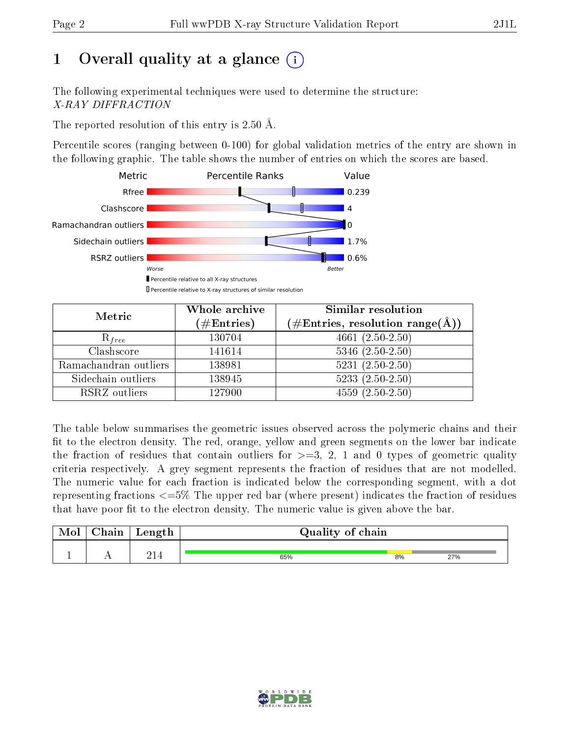# 1 [O](https://www.wwpdb.org/validation/2017/XrayValidationReportHelp#overall_quality)verall quality at a glance  $(i)$

The following experimental techniques were used to determine the structure: X-RAY DIFFRACTION

The reported resolution of this entry is 2.50 Å.

Percentile scores (ranging between 0-100) for global validation metrics of the entry are shown in the following graphic. The table shows the number of entries on which the scores are based.



| Metric                | Whole archive<br>$(\#\mathrm{Entries})$ | Similar resolution<br>$(\#\text{Entries},\,\text{resolution}\,\,\text{range}(\textup{\AA}))$ |  |  |
|-----------------------|-----------------------------------------|----------------------------------------------------------------------------------------------|--|--|
| $R_{free}$            | 130704                                  | $4661(2.50-2.50)$                                                                            |  |  |
| Clashscore            | 141614                                  | $5346$ $(2.50-2.50)$                                                                         |  |  |
| Ramachandran outliers | 138981                                  | $5231 (2.50 - 2.50)$                                                                         |  |  |
| Sidechain outliers    | 138945                                  | $5233(2.50-2.50)$                                                                            |  |  |
| RSRZ outliers         | 127900                                  | $4559(2.50-2.50)$                                                                            |  |  |

The table below summarises the geometric issues observed across the polymeric chains and their fit to the electron density. The red, orange, yellow and green segments on the lower bar indicate the fraction of residues that contain outliers for  $>=3, 2, 1$  and 0 types of geometric quality criteria respectively. A grey segment represents the fraction of residues that are not modelled. The numeric value for each fraction is indicated below the corresponding segment, with a dot representing fractions  $\epsilon=5\%$  The upper red bar (where present) indicates the fraction of residues that have poor fit to the electron density. The numeric value is given above the bar.

| Mol       | $\alpha$ hain | Length              | Quality of chain |    |     |  |
|-----------|---------------|---------------------|------------------|----|-----|--|
| <u>д.</u> | . .           | ີ 1 <i>1</i><br>417 | 65%              | 8% | 27% |  |

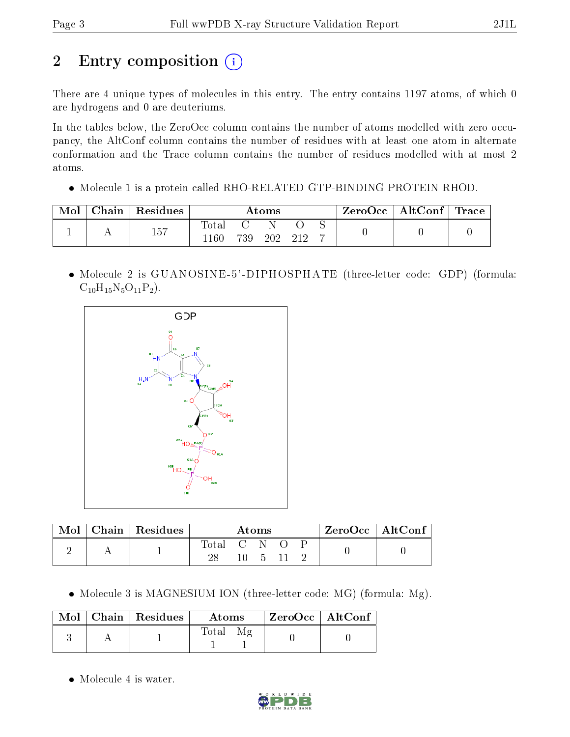# 2 Entry composition (i)

There are 4 unique types of molecules in this entry. The entry contains 1197 atoms, of which 0 are hydrogens and 0 are deuteriums.

In the tables below, the ZeroOcc column contains the number of atoms modelled with zero occupancy, the AltConf column contains the number of residues with at least one atom in alternate conformation and the Trace column contains the number of residues modelled with at most 2 atoms.

• Molecule 1 is a protein called RHO-RELATED GTP-BINDING PROTEIN RHOD.

| Mol | $Chain   Residues$ | Atoms                 |     |     | ZeroOcc   AltConf   Trace |  |  |  |
|-----|--------------------|-----------------------|-----|-----|---------------------------|--|--|--|
|     | 157                | $_{\rm Total}$<br>160 | 739 | 202 |                           |  |  |  |

 Molecule 2 is GUANOSINE -5' -DIPHOSPHATE (three-letter code: GDP) (formula:  $C_{10}H_{15}N_5O_{11}P_2$ .



|  | Chain   Residues | Atoms       |  |  | $ZeroOcc \   \ AltConf \  $ |  |  |  |
|--|------------------|-------------|--|--|-----------------------------|--|--|--|
|  |                  | Total C N O |  |  |                             |  |  |  |

• Molecule 3 is MAGNESIUM ION (three-letter code: MG) (formula: Mg).

|  | $Mol$   Chain   Residues | Atoms              | ZeroOcc   AltConf |  |
|--|--------------------------|--------------------|-------------------|--|
|  |                          | Μg<br><b>Total</b> |                   |  |

• Molecule 4 is water.

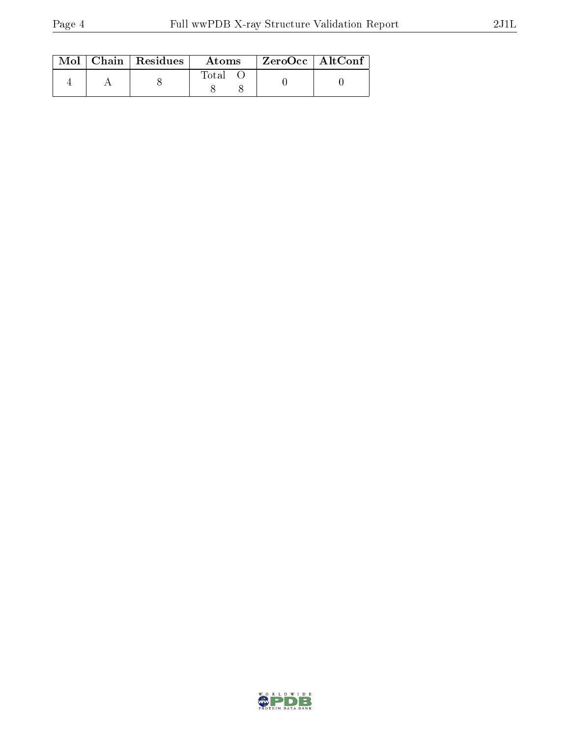|  | $\text{Mol}$   Chain   Residues | Atoms       | $^\mathrm{+}$ ZeroOcc $\, \mid \, \mathrm{AltConf} \, \vert$ |  |
|--|---------------------------------|-------------|--------------------------------------------------------------|--|
|  |                                 | $\rm Total$ |                                                              |  |

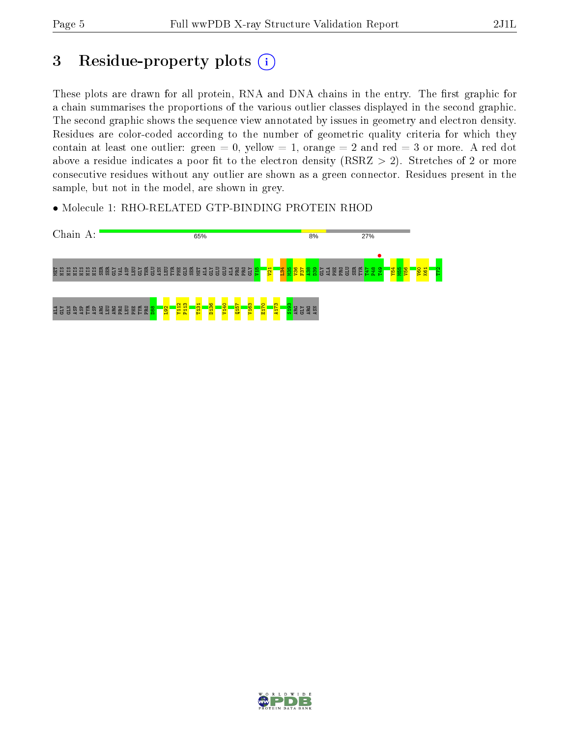# 3 Residue-property plots  $(i)$

These plots are drawn for all protein, RNA and DNA chains in the entry. The first graphic for a chain summarises the proportions of the various outlier classes displayed in the second graphic. The second graphic shows the sequence view annotated by issues in geometry and electron density. Residues are color-coded according to the number of geometric quality criteria for which they contain at least one outlier: green  $= 0$ , yellow  $= 1$ , orange  $= 2$  and red  $= 3$  or more. A red dot above a residue indicates a poor fit to the electron density (RSRZ  $> 2$ ). Stretches of 2 or more consecutive residues without any outlier are shown as a green connector. Residues present in the sample, but not in the model, are shown in grey.

• Molecule 1: RHO-RELATED GTP-BINDING PROTEIN RHOD



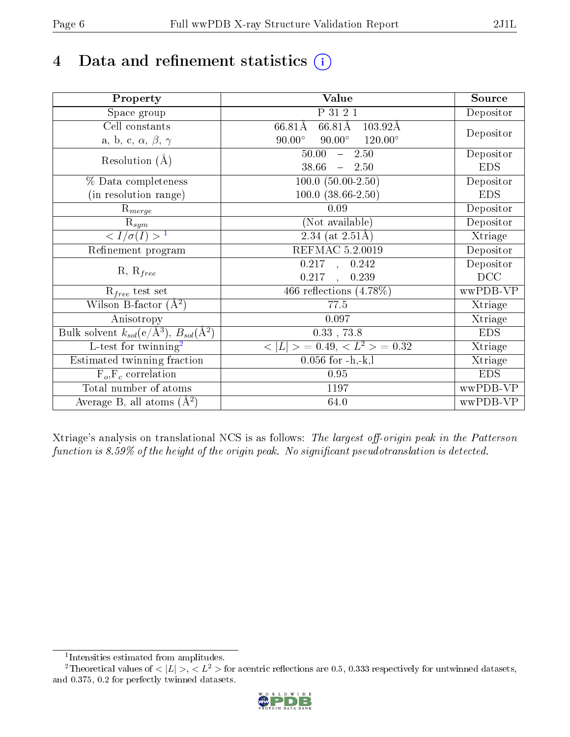# 4 Data and refinement statistics  $(i)$

| Property                                                             | Value                                                        | Source     |
|----------------------------------------------------------------------|--------------------------------------------------------------|------------|
| Space group                                                          | P 31 2 1                                                     | Depositor  |
| Cell constants                                                       | $66.81\text{\AA}$<br>$66.81\text{\AA}$<br>$103.92\text{\AA}$ |            |
| a, b, c, $\alpha$ , $\beta$ , $\gamma$                               | $90.00^\circ$<br>$90.00^\circ$<br>$120.00^{\circ}$           | Depositor  |
| Resolution $(A)$                                                     | 50.00<br>$-2.50$                                             | Depositor  |
|                                                                      | 38.66<br>$-2.50$                                             | <b>EDS</b> |
| % Data completeness                                                  | $100.0 (50.00-2.50)$                                         | Depositor  |
| (in resolution range)                                                | $100.0$ $(38.66 - 2.50)$                                     | <b>EDS</b> |
| $R_{merge}$                                                          | 0.09                                                         | Depositor  |
| $\mathrm{R}_{sym}$                                                   | (Not available)                                              | Depositor  |
| $\langle I/\sigma(I) \rangle$ <sup>1</sup>                           | 2.34 (at $2.51\text{\AA}$ )                                  | Xtriage    |
| Refinement program                                                   | <b>REFMAC 5.2.0019</b>                                       | Depositor  |
|                                                                      | $0.217$ , $0.242$                                            | Depositor  |
| $R, R_{free}$                                                        | 0.217<br>0.239<br>$\frac{1}{2}$                              | DCC        |
| $\mathcal{R}_{free}$ test set                                        | 466 reflections $(4.78\%)$                                   | wwPDB-VP   |
| Wilson B-factor $(A^2)$                                              | 77.5                                                         | Xtriage    |
| Anisotropy                                                           | 0.097                                                        | Xtriage    |
| Bulk solvent $k_{sol}(e/\mathring{A}^3)$ , $B_{sol}(\mathring{A}^2)$ | $0.33$ , $73.8$                                              | <b>EDS</b> |
| L-test for twinning <sup>2</sup>                                     | $< L >$ = 0.49, $< L2$ = 0.32                                | Xtriage    |
| Estimated twinning fraction                                          | $0.056$ for $-h,-k,l$                                        | Xtriage    |
| $F_o, F_c$ correlation                                               | 0.95                                                         | <b>EDS</b> |
| Total number of atoms                                                | 1197                                                         | wwPDB-VP   |
| Average B, all atoms $(A^2)$                                         | 64.0                                                         | wwPDB-VP   |

Xtriage's analysis on translational NCS is as follows: The largest off-origin peak in the Patterson function is  $8.59\%$  of the height of the origin peak. No significant pseudotranslation is detected.

<sup>&</sup>lt;sup>2</sup>Theoretical values of  $\langle |L| \rangle$ ,  $\langle L^2 \rangle$  for acentric reflections are 0.5, 0.333 respectively for untwinned datasets, and 0.375, 0.2 for perfectly twinned datasets.



<span id="page-5-1"></span><span id="page-5-0"></span><sup>1</sup> Intensities estimated from amplitudes.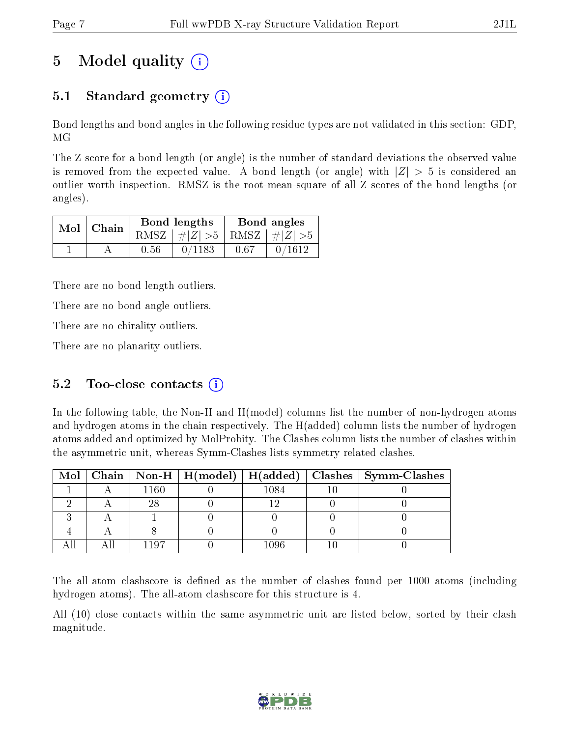# 5 Model quality  $(i)$

### 5.1 Standard geometry  $\overline{()}$

Bond lengths and bond angles in the following residue types are not validated in this section: GDP, MG

The Z score for a bond length (or angle) is the number of standard deviations the observed value is removed from the expected value. A bond length (or angle) with  $|Z| > 5$  is considered an outlier worth inspection. RMSZ is the root-mean-square of all Z scores of the bond lengths (or angles).

|  | $Mol$   Chain |      | Bond lengths                    | Bond angles |        |  |
|--|---------------|------|---------------------------------|-------------|--------|--|
|  |               |      | RMSZ $ #Z  > 5$ RMSZ $ #Z  > 5$ |             |        |  |
|  |               | 0.56 | 0/1183                          | 0.67        | 0/1612 |  |

There are no bond length outliers.

There are no bond angle outliers.

There are no chirality outliers.

There are no planarity outliers.

### 5.2 Too-close contacts  $(i)$

In the following table, the Non-H and H(model) columns list the number of non-hydrogen atoms and hydrogen atoms in the chain respectively. The H(added) column lists the number of hydrogen atoms added and optimized by MolProbity. The Clashes column lists the number of clashes within the asymmetric unit, whereas Symm-Clashes lists symmetry related clashes.

|  |          |      | Mol   Chain   Non-H   H(model)   H(added)   Clashes   Symm-Clashes |
|--|----------|------|--------------------------------------------------------------------|
|  | $1160\,$ | 1084 |                                                                    |
|  |          |      |                                                                    |
|  |          |      |                                                                    |
|  |          |      |                                                                    |
|  | (107)    | 1096 |                                                                    |

The all-atom clashscore is defined as the number of clashes found per 1000 atoms (including hydrogen atoms). The all-atom clashscore for this structure is 4.

All (10) close contacts within the same asymmetric unit are listed below, sorted by their clash magnitude.

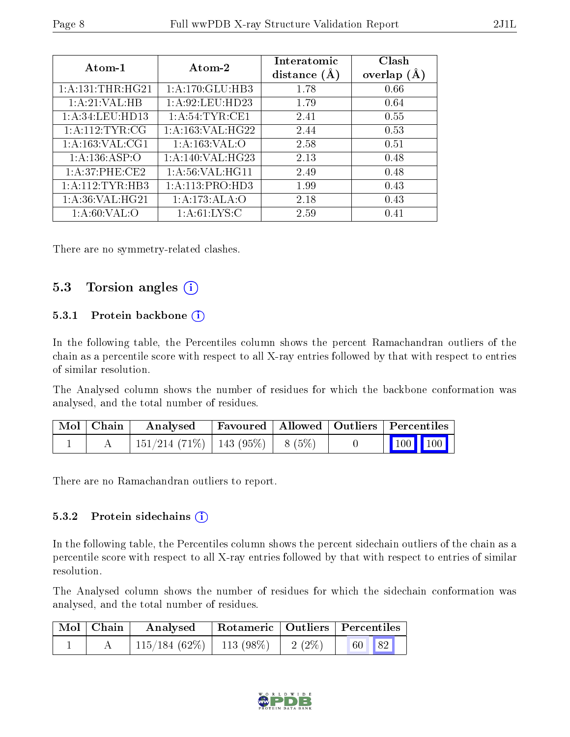| Atom-1               | Atom-2             | Interatomic<br>distance | Clash<br>overlap $(A)$ |
|----------------------|--------------------|-------------------------|------------------------|
| 1: A: 131: THE: HG21 | 1:A:170:GLU:HB3    | 1.78                    | 0.66                   |
| 1:A:21:VAL:HB        | 1: A:92:LEU:HD23   | 1.79                    | 0.64                   |
| 1: A:34:LEU:HD13     | 1: A:54:TYR:CE1    | 2.41                    | 0.55                   |
| 1:A:112:TYR:CG       | 1:A:163:VAL:HG22   | 2.44                    | 0.53                   |
| 1: A: 163: VAL: CG1  | 1: A: 163: VAL: O  | 2.58                    | 0.51                   |
| 1: A: 136: ASP: O    | 1: A:140: VAL:HG23 | 2.13                    | 0.48                   |
| 1: A:37:PHE:CE2      | 1: A:56: VAL:HGI1  | 2.49                    | 0.48                   |
| 1:A:112:TYR:HB3      | 1:A:113:PRO:HD3    | 1.99                    | 0.43                   |
| 1:A:36:VAL:HG21      | 1:A:173:ALA:O      | 2.18                    | 0.43                   |
| 1: A:60: VAL:O       | 1: A:61: LYS:C     | 2.59                    | 0.41                   |

There are no symmetry-related clashes.

### 5.3 Torsion angles  $(i)$

#### 5.3.1 Protein backbone  $(i)$

In the following table, the Percentiles column shows the percent Ramachandran outliers of the chain as a percentile score with respect to all X-ray entries followed by that with respect to entries of similar resolution.

The Analysed column shows the number of residues for which the backbone conformation was analysed, and the total number of residues.

| $\mid$ Mol $\mid$ Chain $\mid$ | Analysed                                |  | Favoured   Allowed   Outliers   Percentiles |  |
|--------------------------------|-----------------------------------------|--|---------------------------------------------|--|
|                                | $151/214$ (71\%)   143 (95\%)   8 (5\%) |  | 100 100                                     |  |

There are no Ramachandran outliers to report.

#### 5.3.2 Protein sidechains (i)

In the following table, the Percentiles column shows the percent sidechain outliers of the chain as a percentile score with respect to all X-ray entries followed by that with respect to entries of similar resolution.

The Analysed column shows the number of residues for which the sidechain conformation was analysed, and the total number of residues.

| Mol   Chain | Analysed                               | Rotameric   Outliers   Percentiles |       |  |
|-------------|----------------------------------------|------------------------------------|-------|--|
|             | $115/184(62\%)$   113 (98\%)   2 (2\%) |                                    | 60 82 |  |

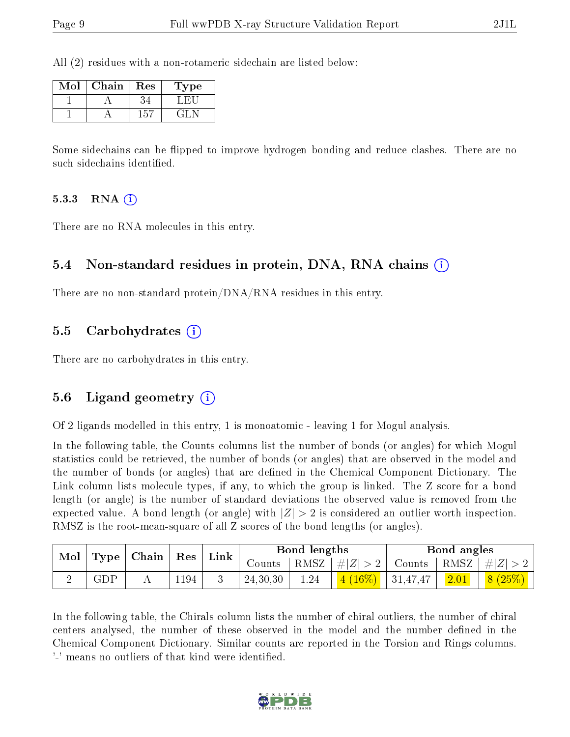All (2) residues with a non-rotameric sidechain are listed below:

| Mol | Chain | $\operatorname{Res}% \left\vert \mathcal{H}\right\vert =\operatorname*{Res}_{\mathcal{H}}\left\vert \mathcal{H}% \right\vert ^{2}$ | Type |
|-----|-------|------------------------------------------------------------------------------------------------------------------------------------|------|
|     |       |                                                                                                                                    |      |
|     |       | -51                                                                                                                                |      |

Some sidechains can be flipped to improve hydrogen bonding and reduce clashes. There are no such sidechains identified.

#### 5.3.3 RNA  $(i)$

There are no RNA molecules in this entry.

#### 5.4 Non-standard residues in protein, DNA, RNA chains (i)

There are no non-standard protein/DNA/RNA residues in this entry.

#### 5.5 Carbohydrates (i)

There are no carbohydrates in this entry.

#### 5.6 Ligand geometry (i)

Of 2 ligands modelled in this entry, 1 is monoatomic - leaving 1 for Mogul analysis.

In the following table, the Counts columns list the number of bonds (or angles) for which Mogul statistics could be retrieved, the number of bonds (or angles) that are observed in the model and the number of bonds (or angles) that are defined in the Chemical Component Dictionary. The Link column lists molecule types, if any, to which the group is linked. The Z score for a bond length (or angle) is the number of standard deviations the observed value is removed from the expected value. A bond length (or angle) with  $|Z| > 2$  is considered an outlier worth inspection. RMSZ is the root-mean-square of all Z scores of the bond lengths (or angles).

| Mol | Type | $\mid$ Chain $\mid$ Res |      |  |          |      | ${\rm Link}$ |          | Bond lengths |        |  | Bond angles |  |
|-----|------|-------------------------|------|--|----------|------|--------------|----------|--------------|--------|--|-------------|--|
|     |      |                         |      |  | Counts   | RMSZ | $+# Z $<br>റ | Counts   | RMSZ $ #Z $  |        |  |             |  |
|     | GDP  |                         | 1194 |  | 24,30,30 | 1.24 | $4(16\%)$    | 31,47,47 |              | 8(25%) |  |             |  |

In the following table, the Chirals column lists the number of chiral outliers, the number of chiral centers analysed, the number of these observed in the model and the number defined in the Chemical Component Dictionary. Similar counts are reported in the Torsion and Rings columns. '-' means no outliers of that kind were identified.

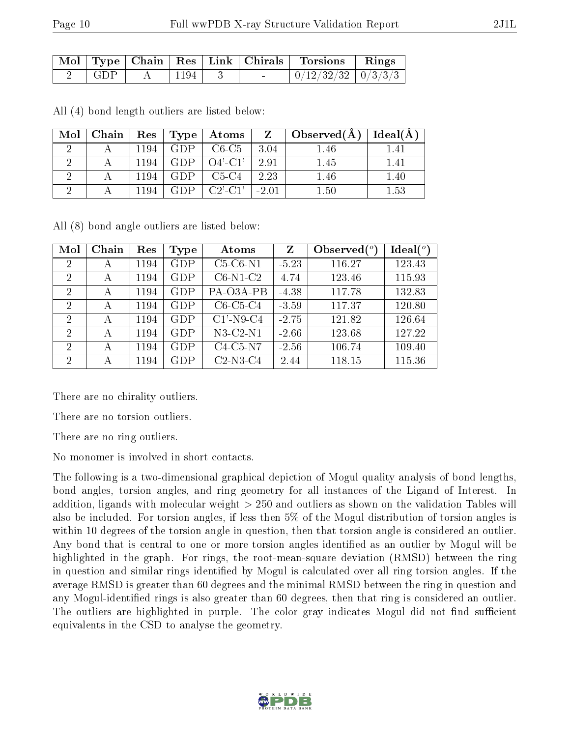|  |      |  | Mol   Type   Chain   Res   Link   Chirals   Torsions   Rings |  |
|--|------|--|--------------------------------------------------------------|--|
|  | 1194 |  | $\mid 0/12/32/32 \mid 0/3/3/3 \mid$                          |  |

All (4) bond length outliers are listed below:

| Mol | Chain |      | Res   Type | $\boldsymbol{\mathrm{Atoms}}$ | Z    | $\Box$ Observed $(A)$ | Ideal(A) |
|-----|-------|------|------------|-------------------------------|------|-----------------------|----------|
|     |       | 1194 | <b>GDP</b> | $C6-C5$                       | 3.04 | .46                   | -41      |
|     |       | 1194 | GDP.       | $O4'$ -C1'                    | 2.91 | 1.45                  | 1.41     |
|     |       | 1194 | CDP        | $C5-C4$                       | 2.23 | 1.46                  | $1.40\,$ |
|     |       | 1194 | CDP.       | $C2'$ -C1'                    |      | 1.50                  | $1.53\,$ |

All (8) bond angle outliers are listed below:

| Mol            | Chain | Res  | Type       | Atoms        | Z       | Observed $(^\circ)$ | $\text{Ideal}({}^o)$ |
|----------------|-------|------|------------|--------------|---------|---------------------|----------------------|
| $\overline{2}$ | А     | 1194 | <b>GDP</b> | $C5-C6-N1$   | $-5.23$ | 116.27              | 123.43               |
| 2              | А     | 1194 | <b>GDP</b> | $C6-N1-C2$   | 4.74    | 123.46              | 115.93               |
| 2              | А     | 1194 | GDP        | PA-O3A-PB    | $-4.38$ | 117.78              | 132.83               |
| 2              | А     | 1194 | GDP        | $C6-C5-C4$   | $-3.59$ | 117.37              | 120.80               |
| 2              | А     | 1194 | GDP        | $C1'$ -N9-C4 | $-2.75$ | 121.82              | 126.64               |
| $\overline{2}$ | А     | 1194 | GDP        | $N3-C2-N1$   | $-2.66$ | 123.68              | 127.22               |
| 2              | А     | 1194 | GDP        | $C4-C5-N7$   | $-2.56$ | 106.74              | 109.40               |
| 2              | А     | 1194 | <b>GDP</b> | $C2-N3-C4$   | 2.44    | 118.15              | 115.36               |

There are no chirality outliers.

There are no torsion outliers.

There are no ring outliers.

No monomer is involved in short contacts.

The following is a two-dimensional graphical depiction of Mogul quality analysis of bond lengths, bond angles, torsion angles, and ring geometry for all instances of the Ligand of Interest. In addition, ligands with molecular weight > 250 and outliers as shown on the validation Tables will also be included. For torsion angles, if less then 5% of the Mogul distribution of torsion angles is within 10 degrees of the torsion angle in question, then that torsion angle is considered an outlier. Any bond that is central to one or more torsion angles identified as an outlier by Mogul will be highlighted in the graph. For rings, the root-mean-square deviation (RMSD) between the ring in question and similar rings identified by Mogul is calculated over all ring torsion angles. If the average RMSD is greater than 60 degrees and the minimal RMSD between the ring in question and any Mogul-identified rings is also greater than 60 degrees, then that ring is considered an outlier. The outliers are highlighted in purple. The color gray indicates Mogul did not find sufficient equivalents in the CSD to analyse the geometry.

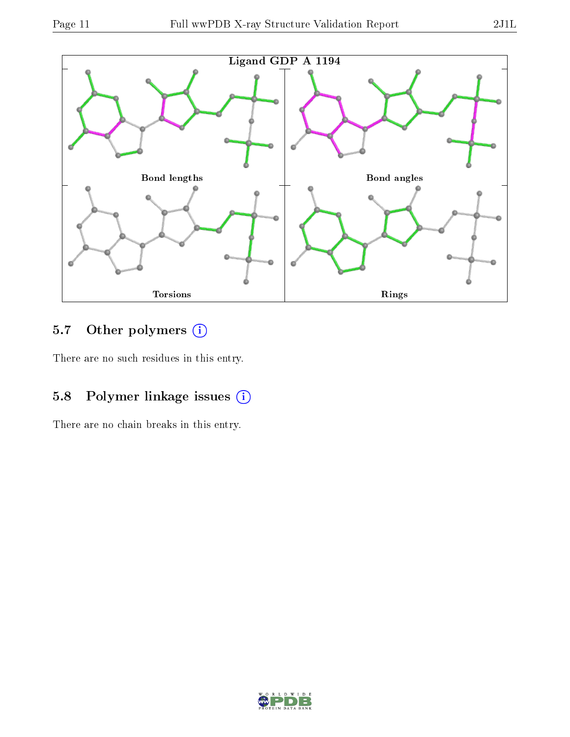

## 5.7 [O](https://www.wwpdb.org/validation/2017/XrayValidationReportHelp#nonstandard_residues_and_ligands)ther polymers (i)

There are no such residues in this entry.

### 5.8 Polymer linkage issues (i)

There are no chain breaks in this entry.

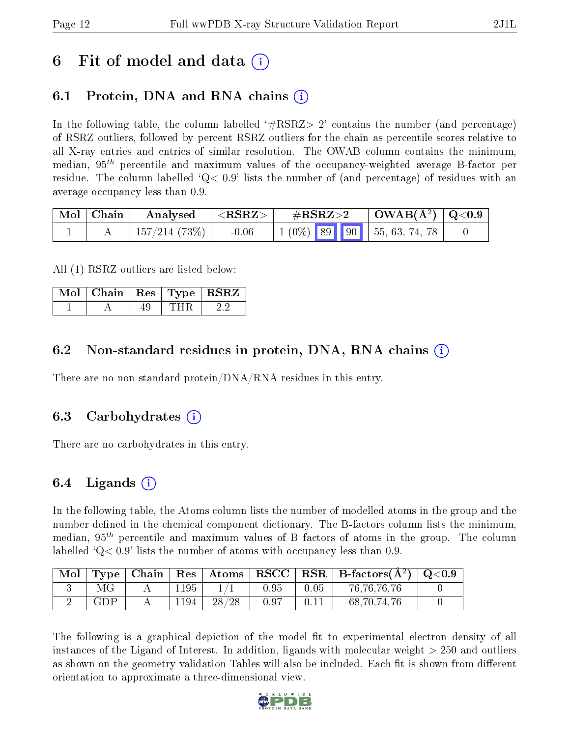### 6 Fit of model and data  $\left( \cdot \right)$

### 6.1 Protein, DNA and RNA chains (i)

In the following table, the column labelled  $#RSRZ> 2'$  contains the number (and percentage) of RSRZ outliers, followed by percent RSRZ outliers for the chain as percentile scores relative to all X-ray entries and entries of similar resolution. The OWAB column contains the minimum, median,  $95<sup>th</sup>$  percentile and maximum values of the occupancy-weighted average B-factor per residue. The column labelled  $Q < 0.9$  lists the number of (and percentage) of residues with an average occupancy less than 0.9.

| $\mid$ Mol $\mid$ Chain $\mid$ | $\parallel$ Analysed $\parallel$ | $ \langle \mathrm{RSRZ} \rangle $ | $\rm \#RSRZ{>}2$ |  | $\mid$ OWAB(Å <sup>2</sup> ) $\mid$ Q<0.9  |  |
|--------------------------------|----------------------------------|-----------------------------------|------------------|--|--------------------------------------------|--|
|                                | $\pm 157/214$ (73%) $\pm$        | $-0.06$                           |                  |  | $\vert 1 \vert (0\%)$ 89 90 55, 63, 74, 78 |  |

All (1) RSRZ outliers are listed below:

| Mol   Chain   Res   Type   RSRZ |  |  |
|---------------------------------|--|--|
|                                 |  |  |

### 6.2 Non-standard residues in protein, DNA, RNA chains (i)

There are no non-standard protein/DNA/RNA residues in this entry.

#### 6.3 Carbohydrates (i)

There are no carbohydrates in this entry.

### 6.4 Ligands  $(i)$

In the following table, the Atoms column lists the number of modelled atoms in the group and the number defined in the chemical component dictionary. The B-factors column lists the minimum, median,  $95<sup>th</sup>$  percentile and maximum values of B factors of atoms in the group. The column labelled  $Q< 0.9$  lists the number of atoms with occupancy less than 0.9.

| Mol |     | $\text{Type} \mid \text{Chain} \mid$ |      |       |            |      | $\mid$ Res $\mid$ Atoms $\mid$ RSCC $\mid$ RSR $\mid$ B-factors(Å <sup>2</sup> ) $\mid$ Q<0.9 |  |
|-----|-----|--------------------------------------|------|-------|------------|------|-----------------------------------------------------------------------------------------------|--|
|     |     |                                      | 1195 |       | $\rm 0.95$ | 0.05 | 76, 76, 76, 76                                                                                |  |
|     | GDP |                                      | 1194 | 28/28 | -0.97      |      | 68, 70, 74, 76                                                                                |  |

The following is a graphical depiction of the model fit to experimental electron density of all instances of the Ligand of Interest. In addition, ligands with molecular weight  $> 250$  and outliers as shown on the geometry validation Tables will also be included. Each fit is shown from different orientation to approximate a three-dimensional view.